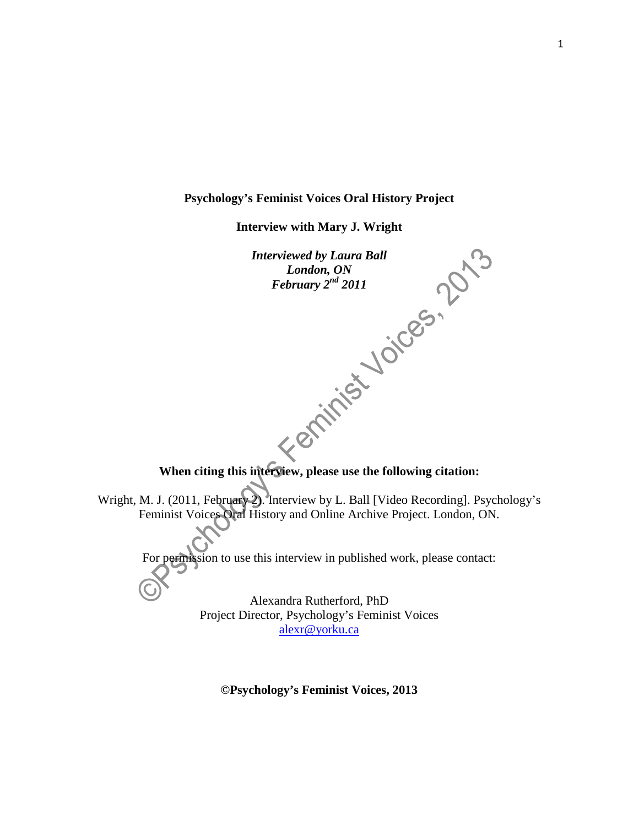#### **Psychology's Feminist Voices Oral History Project**

**Interview with Mary J. Wright**

*Interviewed by Laura Ball London, ON February 2nd 2011* **When citing this interview, please use the following citation:** Wright, M. J. (2011, February 2). Interview by L. Ball [Video Recording]. Psychology's Feminist Voices Oral History and Online Archive Project. London, ON. For permission to use this interview in published work, please contact: Alexandra Rutherford, PhD Project Director, Psychology's Feminist Voices [alexr@yorku.ca](mailto:alexr@yorku.ca)

**©Psychology's Feminist Voices, 2013**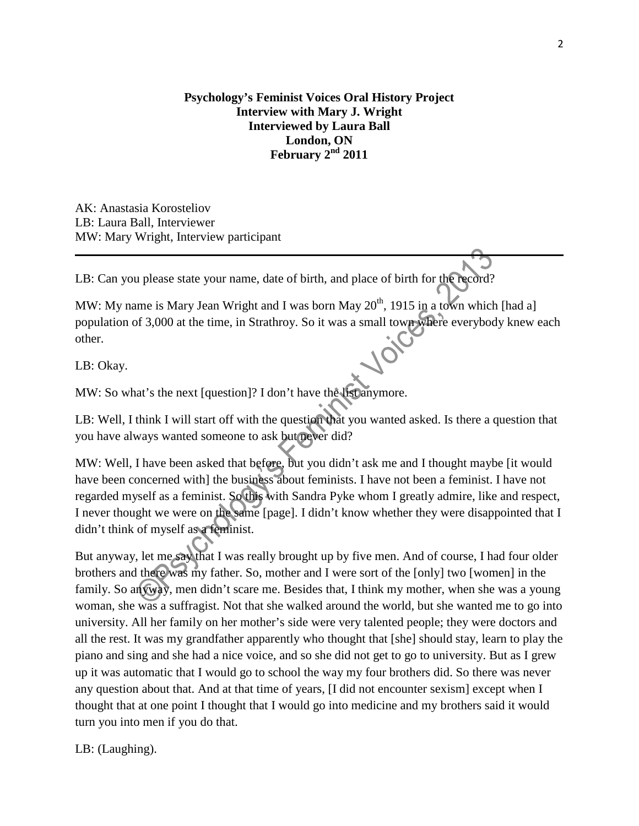## **Psychology's Feminist Voices Oral History Project Interview with Mary J. Wright Interviewed by Laura Ball London, ON February 2nd 2011**

AK: Anastasia Korosteliov LB: Laura Ball, Interviewer MW: Mary Wright, Interview participant

LB: Can you please state your name, date of birth, and place of birth for the record?

MW: My name is Mary Jean Wright and I was born May  $20<sup>th</sup>$ , 1915 in a town which [had a] population of 3,000 at the time, in Strathroy. So it was a small town where everybody knew each other.

LB: Okay.

MW: So what's the next [question]? I don't have the list anymore.

LB: Well, I think I will start off with the question that you wanted asked. Is there a question that you have always wanted someone to ask but never did?

MW: Well, I have been asked that before, but you didn't ask me and I thought maybe [it would have been concerned with] the business about feminists. I have not been a feminist. I have not regarded myself as a feminist. So this with Sandra Pyke whom I greatly admire, like and respect, I never thought we were on the same [page]. I didn't know whether they were disappointed that I didn't think of myself as a feminist.

But anyway, let me say that I was really brought up by five men. And of course, I had four older brothers and there was my father. So, mother and I were sort of the [only] two [women] in the family. So anyway, men didn't scare me. Besides that, I think my mother, when she was a young woman, she was a suffragist. Not that she walked around the world, but she wanted me to go into university. All her family on her mother's side were very talented people; they were doctors and all the rest. It was my grandfather apparently who thought that [she] should stay, learn to play the piano and sing and she had a nice voice, and so she did not get to go to university. But as I grew up it was automatic that I would go to school the way my four brothers did. So there was never any question about that. And at that time of years, [I did not encounter sexism] except when I thought that at one point I thought that I would go into medicine and my brothers said it would turn you into men if you do that.

LB: (Laughing).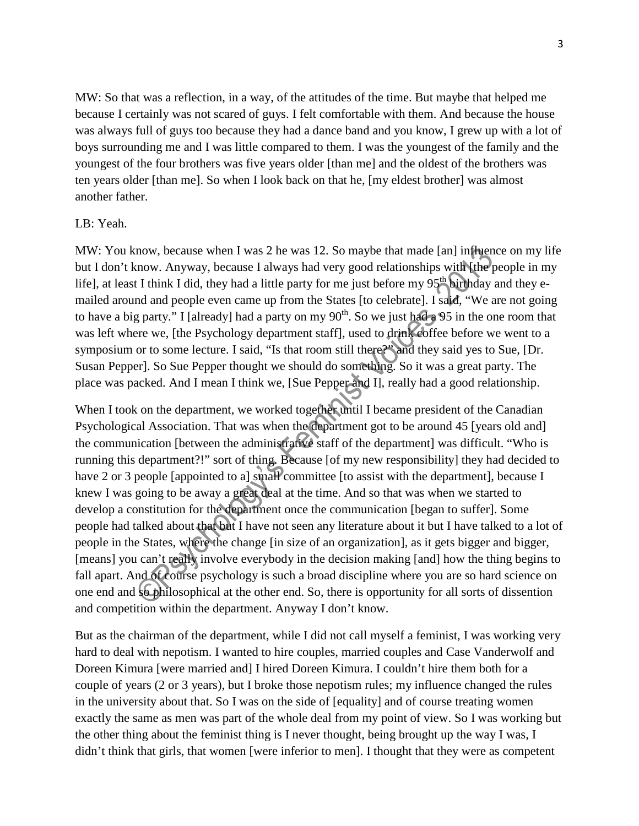MW: So that was a reflection, in a way, of the attitudes of the time. But maybe that helped me because I certainly was not scared of guys. I felt comfortable with them. And because the house was always full of guys too because they had a dance band and you know, I grew up with a lot of boys surrounding me and I was little compared to them. I was the youngest of the family and the youngest of the four brothers was five years older [than me] and the oldest of the brothers was ten years older [than me]. So when I look back on that he, [my eldest brother] was almost another father.

#### LB: Yeah.

MW: You know, because when I was 2 he was 12. So maybe that made [an] influence on my life but I don't know. Anyway, because I always had very good relationships with [the people in my life], at least I think I did, they had a little party for me just before my 95<sup>th</sup> birthday and they emailed around and people even came up from the States [to celebrate]. I said, "We are not going to have a big party." I [already] had a party on my  $90<sup>th</sup>$ . So we just had a 95 in the one room that was left where we, [the Psychology department staff], used to drink coffee before we went to a symposium or to some lecture. I said, "Is that room still there?" and they said yes to Sue, [Dr. Susan Pepper]. So Sue Pepper thought we should do something. So it was a great party. The place was packed. And I mean I think we, [Sue Pepper and I], really had a good relationship.

When I took on the department, we worked together until I became president of the Canadian Psychological Association. That was when the department got to be around 45 [years old and] the communication [between the administrative staff of the department] was difficult. "Who is running this department?!" sort of thing. Because [of my new responsibility] they had decided to have 2 or 3 people [appointed to a] small committee [to assist with the department], because I knew I was going to be away a great deal at the time. And so that was when we started to develop a constitution for the department once the communication [began to suffer]. Some people had talked about that but I have not seen any literature about it but I have talked to a lot of people in the States, where the change [in size of an organization]*,* as it gets bigger and bigger, [means] you can't really involve everybody in the decision making [and] how the thing begins to fall apart. And of course psychology is such a broad discipline where you are so hard science on one end and **so philosophical** at the other end. So, there is opportunity for all sorts of dissention and competition within the department. Anyway I don't know.

But as the chairman of the department, while I did not call myself a feminist, I was working very hard to deal with nepotism. I wanted to hire couples, married couples and Case Vanderwolf and Doreen Kimura [were married and] I hired Doreen Kimura. I couldn't hire them both for a couple of years (2 or 3 years), but I broke those nepotism rules; my influence changed the rules in the university about that. So I was on the side of [equality] and of course treating women exactly the same as men was part of the whole deal from my point of view. So I was working but the other thing about the feminist thing is I never thought, being brought up the way I was, I didn't think that girls, that women [were inferior to men]. I thought that they were as competent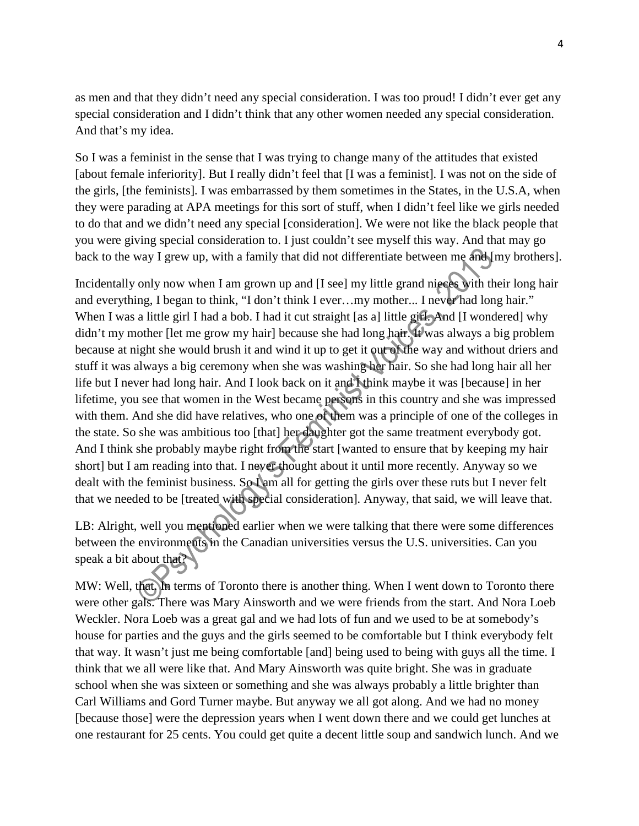as men and that they didn't need any special consideration. I was too proud! I didn't ever get any special consideration and I didn't think that any other women needed any special consideration. And that's my idea.

So I was a feminist in the sense that I was trying to change many of the attitudes that existed [about female inferiority]. But I really didn't feel that [I was a feminist]*.* I was not on the side of the girls, [the feminists]*.* I was embarrassed by them sometimes in the States, in the U.S.A, when they were parading at APA meetings for this sort of stuff, when I didn't feel like we girls needed to do that and we didn't need any special [consideration]. We were not like the black people that you were giving special consideration to. I just couldn't see myself this way. And that may go back to the way I grew up, with a family that did not differentiate between me and [my brothers].

Incidentally only now when I am grown up and [I see] my little grand nieces with their long hair and everything, I began to think, "I don't think I ever…my mother... I never had long hair." When I was a little girl I had a bob. I had it cut straight [as a] little girl. And [I wondered] why didn't my mother [let me grow my hair] because she had long hair. It was always a big problem because at night she would brush it and wind it up to get it out of the way and without driers and stuff it was always a big ceremony when she was washing her hair. So she had long hair all her life but I never had long hair. And I look back on it and I think maybe it was [because] in her lifetime, you see that women in the West became persons in this country and she was impressed with them. And she did have relatives, who one of them was a principle of one of the colleges in the state. So she was ambitious too [that] her daughter got the same treatment everybody got. And I think she probably maybe right from the start [wanted to ensure that by keeping my hair short] but I am reading into that. I never thought about it until more recently. Anyway so we dealt with the feminist business. So I am all for getting the girls over these ruts but I never felt that we needed to be [treated with special consideration]*.* Anyway, that said, we will leave that.

LB: Alright, well you mentioned earlier when we were talking that there were some differences between the environments in the Canadian universities versus the U.S. universities. Can you speak a bit about that?

MW: Well, that. In terms of Toronto there is another thing. When I went down to Toronto there were other gals. There was Mary Ainsworth and we were friends from the start. And Nora Loeb Weckler. Nora Loeb was a great gal and we had lots of fun and we used to be at somebody's house for parties and the guys and the girls seemed to be comfortable but I think everybody felt that way. It wasn't just me being comfortable [and] being used to being with guys all the time. I think that we all were like that. And Mary Ainsworth was quite bright. She was in graduate school when she was sixteen or something and she was always probably a little brighter than Carl Williams and Gord Turner maybe. But anyway we all got along. And we had no money [because those] were the depression years when I went down there and we could get lunches at one restaurant for 25 cents. You could get quite a decent little soup and sandwich lunch. And we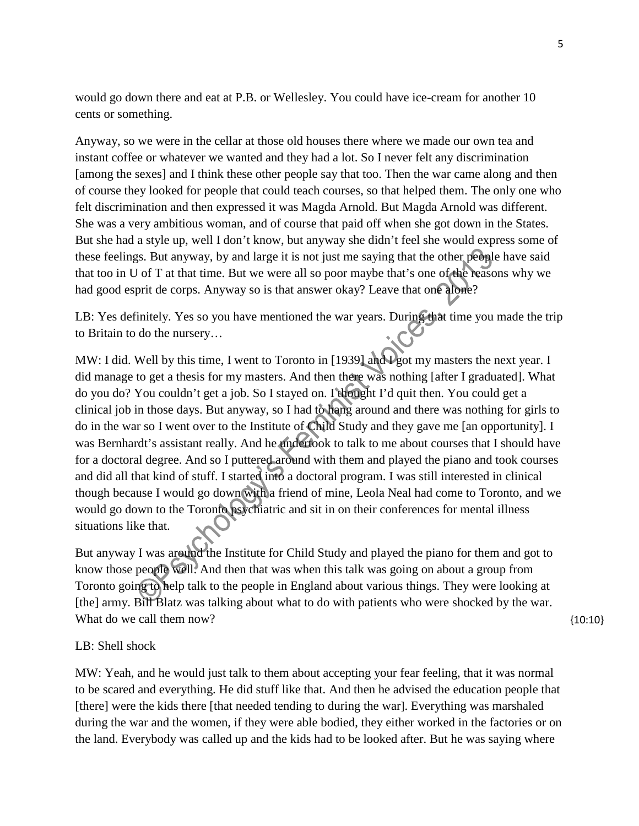would go down there and eat at P.B. or Wellesley. You could have ice-cream for another 10 cents or something.

Anyway, so we were in the cellar at those old houses there where we made our own tea and instant coffee or whatever we wanted and they had a lot. So I never felt any discrimination [among the sexes] and I think these other people say that too. Then the war came along and then of course they looked for people that could teach courses, so that helped them. The only one who felt discrimination and then expressed it was Magda Arnold. But Magda Arnold was different. She was a very ambitious woman, and of course that paid off when she got down in the States. But she had a style up, well I don't know, but anyway she didn't feel she would express some of these feelings. But anyway, by and large it is not just me saying that the other people have said that too in U of T at that time. But we were all so poor maybe that's one of the reasons why we had good esprit de corps. Anyway so is that answer okay? Leave that one alone?

LB: Yes definitely. Yes so you have mentioned the war years. During that time you made the trip to Britain to do the nursery…

MW: I did. Well by this time, I went to Toronto in [1939] and I got my masters the next year. I did manage to get a thesis for my masters. And then there was nothing [after I graduated]. What do you do? You couldn't get a job. So I stayed on. I thought I'd quit then. You could get a clinical job in those days. But anyway, so I had to hang around and there was nothing for girls to do in the war so I went over to the Institute of Child Study and they gave me [an opportunity]. I was Bernhardt's assistant really. And he undertook to talk to me about courses that I should have for a doctoral degree. And so I puttered around with them and played the piano and took courses and did all that kind of stuff. I started into a doctoral program. I was still interested in clinical though because I would go down with a friend of mine, Leola Neal had come to Toronto, and we would go down to the Toronto psychiatric and sit in on their conferences for mental illness situations like that.

But anyway I was around the Institute for Child Study and played the piano for them and got to know those people well. And then that was when this talk was going on about a group from Toronto going to help talk to the people in England about various things. They were looking at [the] army. Bill Blatz was talking about what to do with patients who were shocked by the war. What do we call them now?

{10:10}

## LB: Shell shock

MW: Yeah, and he would just talk to them about accepting your fear feeling, that it was normal to be scared and everything. He did stuff like that. And then he advised the education people that [there] were the kids there [that needed tending to during the war]. Everything was marshaled during the war and the women, if they were able bodied, they either worked in the factories or on the land. Everybody was called up and the kids had to be looked after. But he was saying where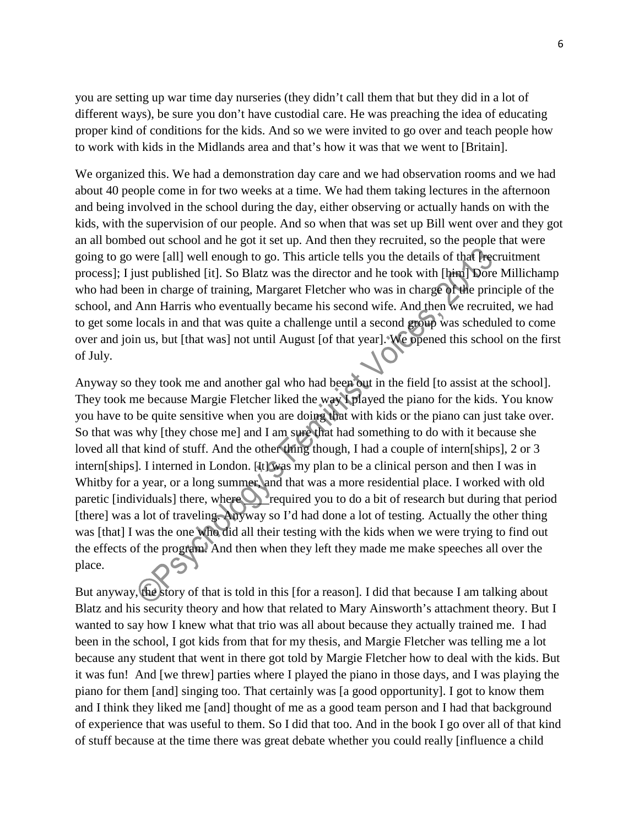you are setting up war time day nurseries (they didn't call them that but they did in a lot of different ways), be sure you don't have custodial care. He was preaching the idea of educating proper kind of conditions for the kids. And so we were invited to go over and teach people how to work with kids in the Midlands area and that's how it was that we went to [Britain].

We organized this. We had a demonstration day care and we had observation rooms and we had about 40 people come in for two weeks at a time. We had them taking lectures in the afternoon and being involved in the school during the day, either observing or actually hands on with the kids, with the supervision of our people. And so when that was set up Bill went over and they got an all bombed out school and he got it set up. And then they recruited, so the people that were going to go were [all] well enough to go. This article tells you the details of that [recruitment process]; I just published [it]. So Blatz was the director and he took with [him] Dore Millichamp who had been in charge of training, Margaret Fletcher who was in charge of the principle of the school, and Ann Harris who eventually became his second wife. And then we recruited, we had to get some locals in and that was quite a challenge until a second group was scheduled to come over and join us, but [that was] not until August [of that year]. We opened this school on the first of July.

Anyway so they took me and another gal who had been out in the field [to assist at the school]. They took me because Margie Fletcher liked the way I played the piano for the kids. You know you have to be quite sensitive when you are doing that with kids or the piano can just take over. So that was why [they chose me] and I am sure that had something to do with it because she loved all that kind of stuff. And the other thing though, I had a couple of intern[ships], 2 or 3 intern[ships]*.* I interned in London. [It] was my plan to be a clinical person and then I was in Whitby for a year, or a long summer, and that was a more residential place. I worked with old paretic [individuals] there, where required you to do a bit of research but during that period [there] was a lot of traveling. Anyway so I'd had done a lot of testing. Actually the other thing was [that] I was the one who did all their testing with the kids when we were trying to find out the effects of the program. And then when they left they made me make speeches all over the place.

But anyway, the story of that is told in this [for a reason]. I did that because I am talking about Blatz and his security theory and how that related to Mary Ainsworth's attachment theory. But I wanted to say how I knew what that trio was all about because they actually trained me. I had been in the school, I got kids from that for my thesis, and Margie Fletcher was telling me a lot because any student that went in there got told by Margie Fletcher how to deal with the kids. But it was fun! And [we threw] parties where I played the piano in those days, and I was playing the piano for them [and] singing too. That certainly was [a good opportunity]. I got to know them and I think they liked me [and] thought of me as a good team person and I had that background of experience that was useful to them. So I did that too. And in the book I go over all of that kind of stuff because at the time there was great debate whether you could really [influence a child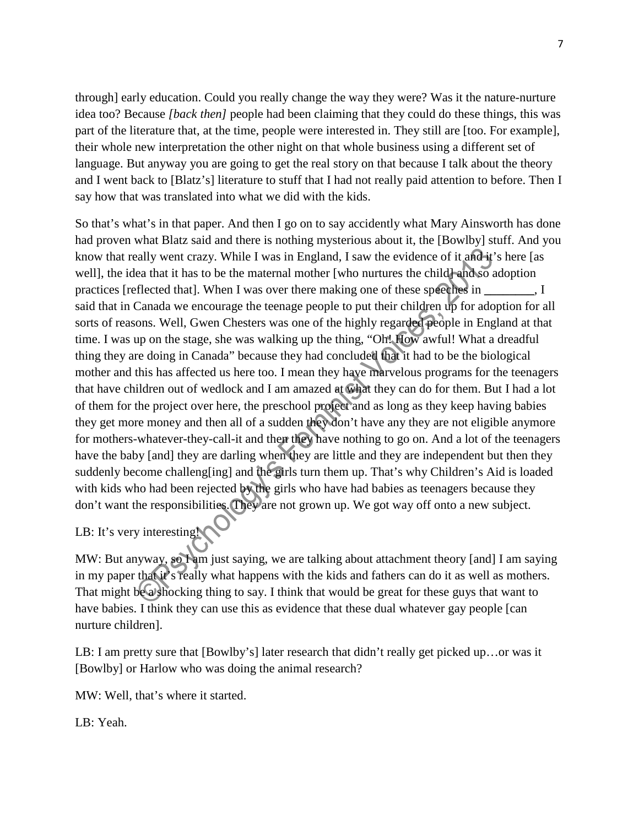through] early education. Could you really change the way they were? Was it the nature-nurture idea too? Because *[back then]* people had been claiming that they could do these things, this was part of the literature that, at the time, people were interested in. They still are [too. For example], their whole new interpretation the other night on that whole business using a different set of language. But anyway you are going to get the real story on that because I talk about the theory and I went back to [Blatz's] literature to stuff that I had not really paid attention to before. Then I say how that was translated into what we did with the kids.

So that's what's in that paper. And then I go on to say accidently what Mary Ainsworth has done had proven what Blatz said and there is nothing mysterious about it, the [Bowlby] stuff. And you know that really went crazy. While I was in England, I saw the evidence of it and it's here [as well], the idea that it has to be the maternal mother [who nurtures the child] and so adoption practices [reflected that]. When I was over there making one of these speeches in **\_\_\_\_\_\_\_\_**, I said that in Canada we encourage the teenage people to put their children up for adoption for all sorts of reasons. Well, Gwen Chesters was one of the highly regarded people in England at that time. I was up on the stage, she was walking up the thing, "Oh! How awful! What a dreadful thing they are doing in Canada" because they had concluded that it had to be the biological mother and this has affected us here too. I mean they have marvelous programs for the teenagers that have children out of wedlock and I am amazed at what they can do for them. But I had a lot of them for the project over here, the preschool project and as long as they keep having babies they get more money and then all of a sudden they don't have any they are not eligible anymore for mothers-whatever-they-call-it and then they have nothing to go on. And a lot of the teenagers have the baby [and] they are darling when they are little and they are independent but then they suddenly become challeng[ing] and the girls turn them up. That's why Children's Aid is loaded with kids who had been rejected by the girls who have had babies as teenagers because they don't want the responsibilities. They are not grown up. We got way off onto a new subject.

# LB: It's very interesting!

MW: But anyway, so I am just saying, we are talking about attachment theory [and] I am saying in my paper that it's really what happens with the kids and fathers can do it as well as mothers. That might be a shocking thing to say. I think that would be great for these guys that want to have babies. I think they can use this as evidence that these dual whatever gay people [can nurture children].

LB: I am pretty sure that [Bowlby's] later research that didn't really get picked up…or was it [Bowlby] or Harlow who was doing the animal research?

MW: Well, that's where it started.

LB: Yeah.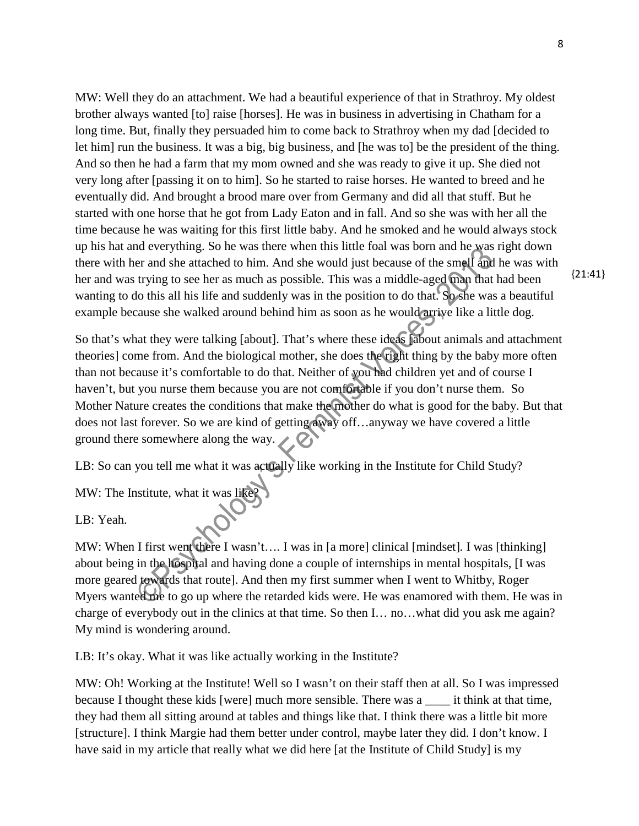MW: Well they do an attachment. We had a beautiful experience of that in Strathroy. My oldest brother always wanted [to] raise [horses]. He was in business in advertising in Chatham for a long time. But, finally they persuaded him to come back to Strathroy when my dad [decided to let him] run the business. It was a big, big business, and [he was to] be the president of the thing. And so then he had a farm that my mom owned and she was ready to give it up. She died not very long after [passing it on to him]. So he started to raise horses. He wanted to breed and he eventually did. And brought a brood mare over from Germany and did all that stuff. But he started with one horse that he got from Lady Eaton and in fall. And so she was with her all the time because he was waiting for this first little baby. And he smoked and he would always stock up his hat and everything. So he was there when this little foal was born and he was right down there with her and she attached to him. And she would just because of the smell and he was with her and was trying to see her as much as possible. This was a middle-aged man that had been wanting to do this all his life and suddenly was in the position to do that. So she was a beautiful example because she walked around behind him as soon as he would arrive like a little dog.

So that's what they were talking [about]. That's where these ideas [about animals and attachment theories] come from. And the biological mother, she does the right thing by the baby more often than not because it's comfortable to do that. Neither of you had children yet and of course I haven't, but you nurse them because you are not comfortable if you don't nurse them. So Mother Nature creates the conditions that make the mother do what is good for the baby. But that does not last forever. So we are kind of getting away off…anyway we have covered a little ground there somewhere along the way.

LB: So can you tell me what it was actually like working in the Institute for Child Study?

MW: The Institute, what it was like?

LB: Yeah.

MW: When I first went there I wasn't.... I was in [a more] clinical [mindset]. I was [thinking] about being in the hospital and having done a couple of internships in mental hospitals, [I was more geared towards that route]. And then my first summer when I went to Whitby, Roger Myers wanted me to go up where the retarded kids were. He was enamored with them. He was in charge of everybody out in the clinics at that time. So then I… no…what did you ask me again? My mind is wondering around.

LB: It's okay. What it was like actually working in the Institute?

MW: Oh! Working at the Institute! Well so I wasn't on their staff then at all. So I was impressed because I thought these kids [were] much more sensible. There was a \_\_\_\_ it think at that time, they had them all sitting around at tables and things like that. I think there was a little bit more [structure]. I think Margie had them better under control, maybe later they did. I don't know. I have said in my article that really what we did here [at the Institute of Child Study] is my

{21:41}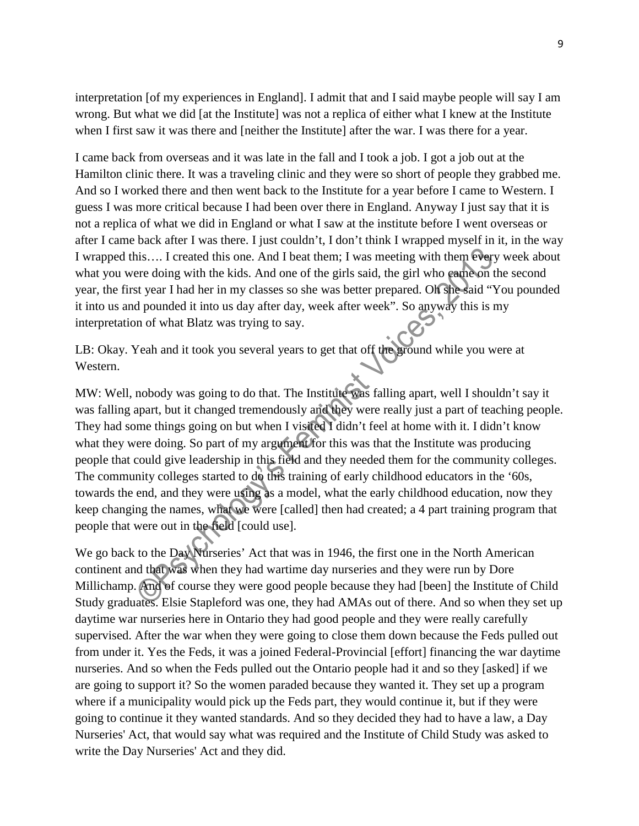interpretation [of my experiences in England]. I admit that and I said maybe people will say I am wrong. But what we did [at the Institute] was not a replica of either what I knew at the Institute when I first saw it was there and [neither the Institute] after the war. I was there for a year.

I came back from overseas and it was late in the fall and I took a job. I got a job out at the Hamilton clinic there. It was a traveling clinic and they were so short of people they grabbed me. And so I worked there and then went back to the Institute for a year before I came to Western. I guess I was more critical because I had been over there in England. Anyway I just say that it is not a replica of what we did in England or what I saw at the institute before I went overseas or after I came back after I was there. I just couldn't, I don't think I wrapped myself in it, in the way I wrapped this…. I created this one. And I beat them; I was meeting with them every week about what you were doing with the kids. And one of the girls said, the girl who came on the second year, the first year I had her in my classes so she was better prepared. Oh she said "You pounded it into us and pounded it into us day after day, week after week". So anyway this is my interpretation of what Blatz was trying to say.

LB: Okay. Yeah and it took you several years to get that off the ground while you were at Western.

MW: Well, nobody was going to do that. The Institute was falling apart, well I shouldn't say it was falling apart, but it changed tremendously and they were really just a part of teaching people. They had some things going on but when I visited I didn't feel at home with it. I didn't know what they were doing. So part of my argument for this was that the Institute was producing people that could give leadership in this field and they needed them for the community colleges. The community colleges started to do this training of early childhood educators in the '60s, towards the end, and they were using as a model, what the early childhood education, now they keep changing the names, what we were [called] then had created; a 4 part training program that people that were out in the field [could use].

We go back to the Day Nurseries' Act that was in 1946, the first one in the North American continent and that was when they had wartime day nurseries and they were run by Dore Millichamp. And of course they were good people because they had [been] the Institute of Child Study graduates. Elsie Stapleford was one, they had AMAs out of there. And so when they set up daytime war nurseries here in Ontario they had good people and they were really carefully supervised. After the war when they were going to close them down because the Feds pulled out from under it. Yes the Feds, it was a joined Federal-Provincial [effort] financing the war daytime nurseries. And so when the Feds pulled out the Ontario people had it and so they [asked] if we are going to support it? So the women paraded because they wanted it. They set up a program where if a municipality would pick up the Feds part, they would continue it, but if they were going to continue it they wanted standards. And so they decided they had to have a law, a Day Nurseries' Act, that would say what was required and the Institute of Child Study was asked to write the Day Nurseries' Act and they did.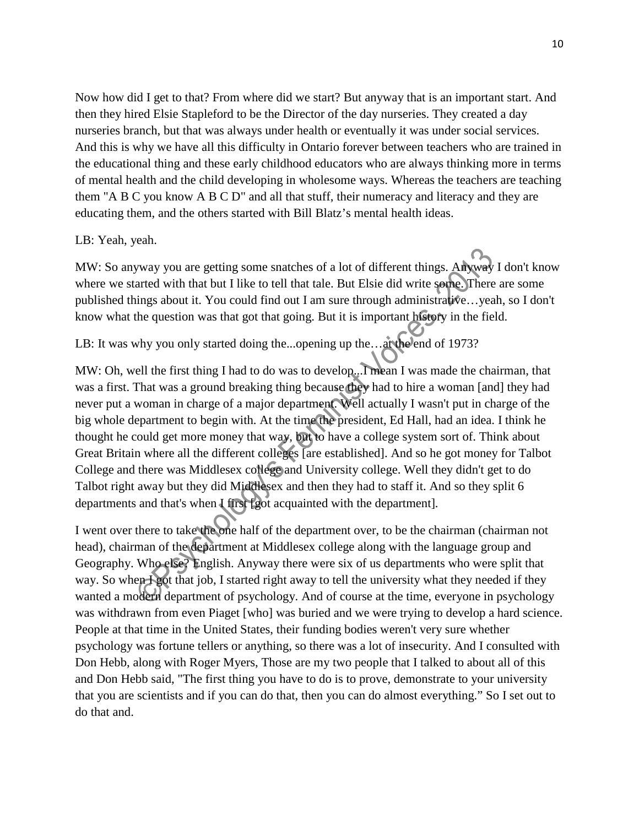Now how did I get to that? From where did we start? But anyway that is an important start. And then they hired Elsie Stapleford to be the Director of the day nurseries. They created a day nurseries branch, but that was always under health or eventually it was under social services. And this is why we have all this difficulty in Ontario forever between teachers who are trained in the educational thing and these early childhood educators who are always thinking more in terms of mental health and the child developing in wholesome ways. Whereas the teachers are teaching them "A B C you know A B C D" and all that stuff, their numeracy and literacy and they are educating them, and the others started with Bill Blatz's mental health ideas.

#### LB: Yeah, yeah.

MW: So anyway you are getting some snatches of a lot of different things. Anyway I don't know where we started with that but I like to tell that tale. But Elsie did write some. There are some published things about it. You could find out I am sure through administrative…yeah, so I don't know what the question was that got that going. But it is important history in the field.

## LB: It was why you only started doing the...opening up the...at the end of 1973?

MW: Oh, well the first thing I had to do was to develop...I mean I was made the chairman, that was a first. That was a ground breaking thing because they had to hire a woman [and] they had never put a woman in charge of a major department. Well actually I wasn't put in charge of the big whole department to begin with. At the time the president, Ed Hall, had an idea. I think he thought he could get more money that way, but to have a college system sort of. Think about Great Britain where all the different colleges [are established]. And so he got money for Talbot College and there was Middlesex college and University college. Well they didn't get to do Talbot right away but they did Middlesex and then they had to staff it. And so they split 6 departments and that's when I first [got acquainted with the department]*.*

I went over there to take the one half of the department over, to be the chairman (chairman not head), chairman of the department at Middlesex college along with the language group and Geography. Who else? English. Anyway there were six of us departments who were split that way. So when **I got that job**, I started right away to tell the university what they needed if they wanted a modern department of psychology. And of course at the time, everyone in psychology was withdrawn from even Piaget [who] was buried and we were trying to develop a hard science. People at that time in the United States, their funding bodies weren't very sure whether psychology was fortune tellers or anything, so there was a lot of insecurity. And I consulted with Don Hebb, along with Roger Myers, Those are my two people that I talked to about all of this and Don Hebb said, "The first thing you have to do is to prove, demonstrate to your university that you are scientists and if you can do that, then you can do almost everything." So I set out to do that and.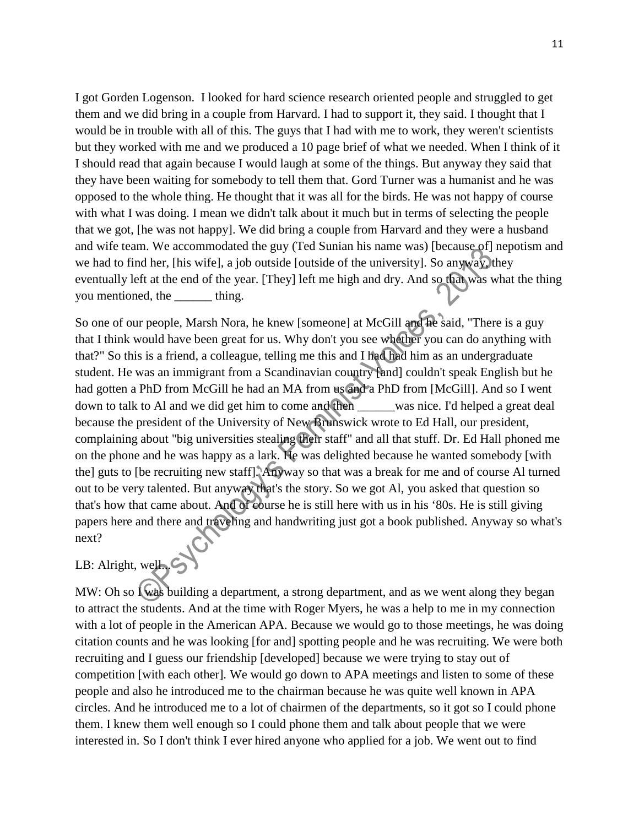I got Gorden Logenson. I looked for hard science research oriented people and struggled to get them and we did bring in a couple from Harvard. I had to support it, they said. I thought that I would be in trouble with all of this. The guys that I had with me to work, they weren't scientists but they worked with me and we produced a 10 page brief of what we needed. When I think of it I should read that again because I would laugh at some of the things. But anyway they said that they have been waiting for somebody to tell them that. Gord Turner was a humanist and he was opposed to the whole thing. He thought that it was all for the birds. He was not happy of course with what I was doing. I mean we didn't talk about it much but in terms of selecting the people that we got, [he was not happy]. We did bring a couple from Harvard and they were a husband and wife team. We accommodated the guy (Ted Sunian his name was) [because of] nepotism and we had to find her, [his wife], a job outside [outside of the university]. So anyway, they eventually left at the end of the year. [They] left me high and dry. And so that was what the thing you mentioned, the **\_\_\_\_\_\_** thing.

So one of our people, Marsh Nora, he knew [someone] at McGill and he said, "There is a guy that I think would have been great for us. Why don't you see whether you can do anything with that?" So this is a friend, a colleague, telling me this and I had had him as an undergraduate student. He was an immigrant from a Scandinavian country [and] couldn't speak English but he had gotten a PhD from McGill he had an MA from us and a PhD from [McGill]. And so I went down to talk to Al and we did get him to come and then was nice. I'd helped a great deal because the president of the University of New Brunswick wrote to Ed Hall, our president, complaining about "big universities stealing their staff" and all that stuff. Dr. Ed Hall phoned me on the phone and he was happy as a lark. He was delighted because he wanted somebody [with the] guts to [be recruiting new staff]*.* Anyway so that was a break for me and of course Al turned out to be very talented. But anyway that's the story. So we got Al, you asked that question so that's how that came about. And of course he is still here with us in his '80s. He is still giving papers here and there and traveling and handwriting just got a book published. Anyway so what's next?

# LB: Alright, well....

MW: Oh so  $I$  was building a department, a strong department, and as we went along they began to attract the students. And at the time with Roger Myers, he was a help to me in my connection with a lot of people in the American APA. Because we would go to those meetings, he was doing citation counts and he was looking [for and] spotting people and he was recruiting. We were both recruiting and I guess our friendship [developed] because we were trying to stay out of competition [with each other]*.* We would go down to APA meetings and listen to some of these people and also he introduced me to the chairman because he was quite well known in APA circles. And he introduced me to a lot of chairmen of the departments, so it got so I could phone them. I knew them well enough so I could phone them and talk about people that we were interested in. So I don't think I ever hired anyone who applied for a job. We went out to find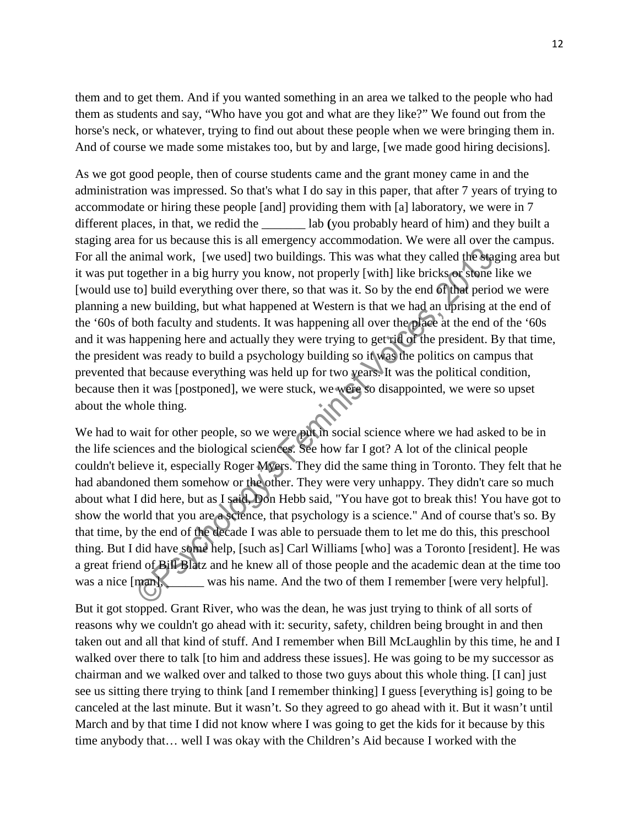them and to get them. And if you wanted something in an area we talked to the people who had them as students and say, "Who have you got and what are they like?" We found out from the horse's neck, or whatever, trying to find out about these people when we were bringing them in. And of course we made some mistakes too, but by and large, [we made good hiring decisions]*.*

As we got good people, then of course students came and the grant money came in and the administration was impressed. So that's what I do say in this paper, that after 7 years of trying to accommodate or hiring these people [and] providing them with [a] laboratory, we were in 7 different places, in that, we redid the \_\_\_\_\_\_\_ lab **(**you probably heard of him) and they built a staging area for us because this is all emergency accommodation. We were all over the campus. For all the animal work, [we used] two buildings. This was what they called the staging area but it was put together in a big hurry you know, not properly [with] like bricks or stone like we [would use to] build everything over there, so that was it. So by the end of that period we were planning a new building, but what happened at Western is that we had an uprising at the end of the '60s of both faculty and students. It was happening all over the place at the end of the '60s and it was happening here and actually they were trying to get rid of the president. By that time, the president was ready to build a psychology building so it was the politics on campus that prevented that because everything was held up for two years. It was the political condition, because then it was [postponed], we were stuck, we were so disappointed, we were so upset about the whole thing.

We had to wait for other people, so we were put in social science where we had asked to be in the life sciences and the biological sciences. See how far I got? A lot of the clinical people couldn't believe it, especially Roger Myers. They did the same thing in Toronto. They felt that he had abandoned them somehow or the other. They were very unhappy. They didn't care so much about what I did here, but as I said, Don Hebb said, "You have got to break this! You have got to show the world that you are a science, that psychology is a science." And of course that's so. By that time, by the end of the decade I was able to persuade them to let me do this, this preschool thing. But I did have some help, [such as] Carl Williams [who] was a Toronto [resident]. He was a great friend of Bill Blatz and he knew all of those people and the academic dean at the time too was a nice  $\lceil \text{man} \rceil$ , was his name. And the two of them I remember [were very helpful].

But it got stopped. Grant River, who was the dean, he was just trying to think of all sorts of reasons why we couldn't go ahead with it: security, safety, children being brought in and then taken out and all that kind of stuff. And I remember when Bill McLaughlin by this time, he and I walked over there to talk [to him and address these issues]. He was going to be my successor as chairman and we walked over and talked to those two guys about this whole thing. [I can] just see us sitting there trying to think [and I remember thinking] I guess [everything is] going to be canceled at the last minute. But it wasn't. So they agreed to go ahead with it. But it wasn't until March and by that time I did not know where I was going to get the kids for it because by this time anybody that… well I was okay with the Children's Aid because I worked with the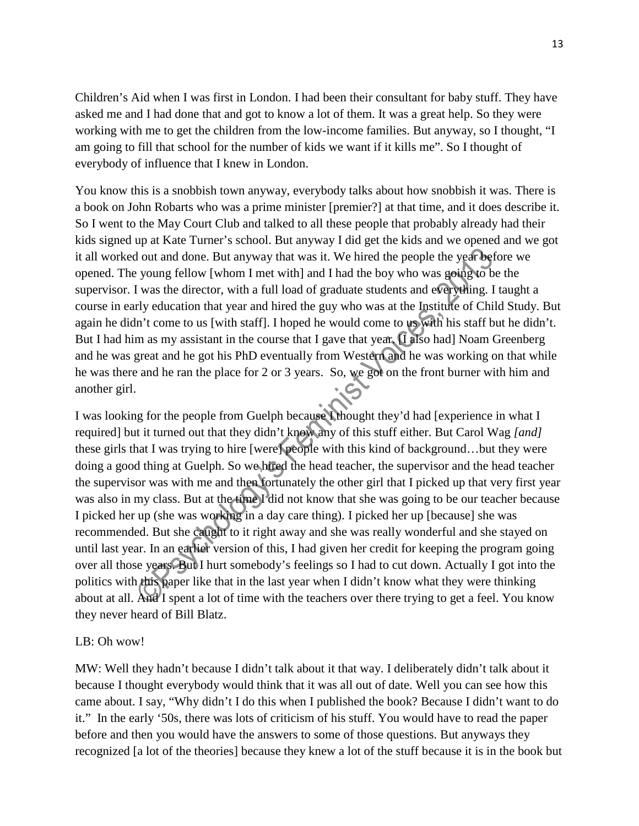Children's Aid when I was first in London. I had been their consultant for baby stuff. They have asked me and I had done that and got to know a lot of them. It was a great help. So they were working with me to get the children from the low-income families. But anyway, so I thought, "I am going to fill that school for the number of kids we want if it kills me". So I thought of everybody of influence that I knew in London.

You know this is a snobbish town anyway, everybody talks about how snobbish it was. There is a book on John Robarts who was a prime minister [premier?] at that time, and it does describe it. So I went to the May Court Club and talked to all these people that probably already had their kids signed up at Kate Turner's school. But anyway I did get the kids and we opened and we got it all worked out and done. But anyway that was it. We hired the people the year before we opened. The young fellow [whom I met with] and I had the boy who was going to be the supervisor. I was the director, with a full load of graduate students and everything. I taught a course in early education that year and hired the guy who was at the Institute of Child Study. But again he didn't come to us [with staff]. I hoped he would come to us with his staff but he didn't. But I had him as my assistant in the course that I gave that year. I also had] Noam Greenberg and he was great and he got his PhD eventually from Western and he was working on that while he was there and he ran the place for 2 or 3 years. So, we got on the front burner with him and another girl.

I was looking for the people from Guelph because I thought they'd had [experience in what I required] but it turned out that they didn't know any of this stuff either. But Carol Wag *[and]*  these girls that I was trying to hire [were] people with this kind of background…but they were doing a good thing at Guelph. So we hired the head teacher, the supervisor and the head teacher the supervisor was with me and then fortunately the other girl that I picked up that very first year was also in my class. But at the time I did not know that she was going to be our teacher because I picked her up (she was working in a day care thing). I picked her up [because] she was recommended. But she caught to it right away and she was really wonderful and she stayed on until last year. In an earlier version of this, I had given her credit for keeping the program going over all those years. But I hurt somebody's feelings so I had to cut down. Actually I got into the politics with this paper like that in the last year when I didn't know what they were thinking about at all. And I spent a lot of time with the teachers over there trying to get a feel. You know they never heard of Bill Blatz.

#### LB: Oh wow!

MW: Well they hadn't because I didn't talk about it that way. I deliberately didn't talk about it because I thought everybody would think that it was all out of date. Well you can see how this came about. I say, "Why didn't I do this when I published the book? Because I didn't want to do it." In the early '50s, there was lots of criticism of his stuff. You would have to read the paper before and then you would have the answers to some of those questions. But anyways they recognized [a lot of the theories] because they knew a lot of the stuff because it is in the book but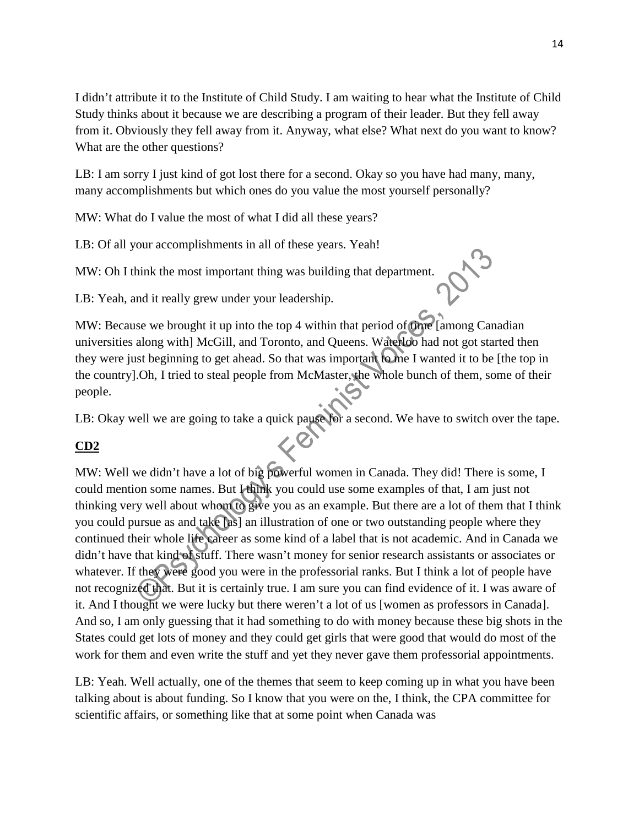I didn't attribute it to the Institute of Child Study. I am waiting to hear what the Institute of Child Study thinks about it because we are describing a program of their leader. But they fell away from it. Obviously they fell away from it. Anyway, what else? What next do you want to know? What are the other questions?

LB: I am sorry I just kind of got lost there for a second. Okay so you have had many, many, many accomplishments but which ones do you value the most yourself personally?

MW: What do I value the most of what I did all these years?

LB: Of all your accomplishments in all of these years. Yeah!

MW: Oh I think the most important thing was building that department.

LB: Yeah, and it really grew under your leadership.

MW: Because we brought it up into the top 4 within that period of time [among Canadian] universities along with] McGill, and Toronto, and Queens. Waterloo had not got started then they were just beginning to get ahead. So that was important to me I wanted it to be [the top in the country].Oh, I tried to steal people from McMaster, the whole bunch of them, some of their people.

LB: Okay well we are going to take a quick pause for a second. We have to switch over the tape.

## **CD2**

MW: Well we didn't have a lot of big powerful women in Canada. They did! There is some, I could mention some names. But I think you could use some examples of that, I am just not thinking very well about whom to give you as an example. But there are a lot of them that I think you could pursue as and take [as] an illustration of one or two outstanding people where they continued their whole life career as some kind of a label that is not academic. And in Canada we didn't have that kind of stuff. There wasn't money for senior research assistants or associates or whatever. If they were good you were in the professorial ranks. But I think a lot of people have not recognized that. But it is certainly true. I am sure you can find evidence of it. I was aware of it. And I thought we were lucky but there weren't a lot of us [women as professors in Canada]. And so, I am only guessing that it had something to do with money because these big shots in the States could get lots of money and they could get girls that were good that would do most of the work for them and even write the stuff and yet they never gave them professorial appointments.

LB: Yeah. Well actually, one of the themes that seem to keep coming up in what you have been talking about is about funding. So I know that you were on the, I think, the CPA committee for scientific affairs, or something like that at some point when Canada was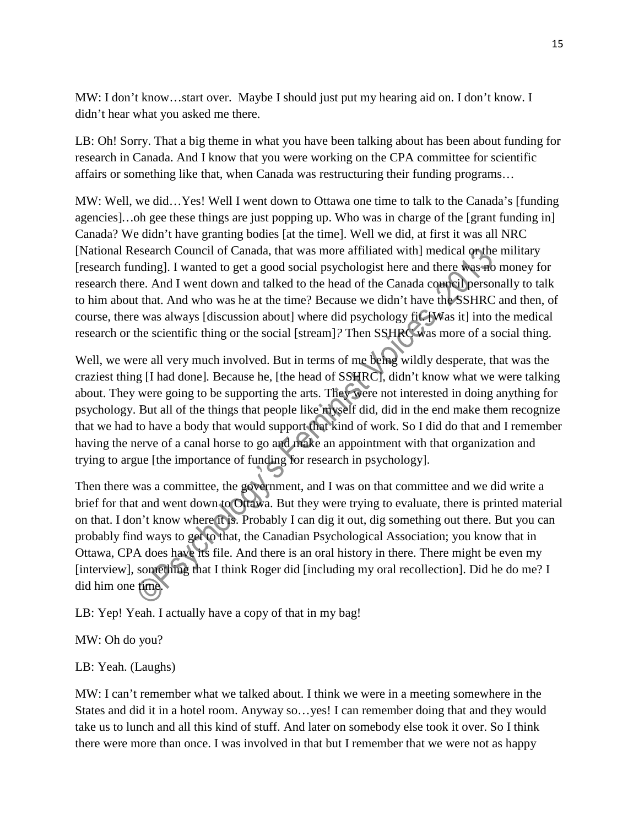MW: I don't know…start over. Maybe I should just put my hearing aid on. I don't know. I didn't hear what you asked me there.

LB: Oh! Sorry. That a big theme in what you have been talking about has been about funding for research in Canada. And I know that you were working on the CPA committee for scientific affairs or something like that, when Canada was restructuring their funding programs…

MW: Well, we did…Yes! Well I went down to Ottawa one time to talk to the Canada's [funding agencies]*…*oh gee these things are just popping up. Who was in charge of the [grant funding in] Canada? We didn't have granting bodies [at the time]. Well we did, at first it was all NRC [National Research Council of Canada, that was more affiliated with] medical or the military [research funding]. I wanted to get a good social psychologist here and there was no money for research there. And I went down and talked to the head of the Canada council personally to talk to him about that. And who was he at the time? Because we didn't have the SSHRC and then, of course, there was always [discussion about] where did psychology fit. [Was it] into the medical research or the scientific thing or the social [stream]*?* Then SSHRC was more of a social thing.

Well, we were all very much involved. But in terms of me being wildly desperate, that was the craziest thing [I had done]*.* Because he, [the head of SSHRC], didn't know what we were talking about. They were going to be supporting the arts. They were not interested in doing anything for psychology. But all of the things that people like myself did, did in the end make them recognize that we had to have a body that would support that kind of work. So I did do that and I remember having the nerve of a canal horse to go and make an appointment with that organization and trying to argue [the importance of funding for research in psychology].

Then there was a committee, the government, and I was on that committee and we did write a brief for that and went down to Ottawa. But they were trying to evaluate, there is printed material on that. I don't know where it is. Probably I can dig it out, dig something out there. But you can probably find ways to get to that, the Canadian Psychological Association; you know that in Ottawa, CPA does have its file. And there is an oral history in there. There might be even my [interview]*,* something that I think Roger did [including my oral recollection]. Did he do me? I did him one time.

LB: Yep! Yeah. I actually have a copy of that in my bag!

MW: Oh do you?

## LB: Yeah. (Laughs)

MW: I can't remember what we talked about. I think we were in a meeting somewhere in the States and did it in a hotel room. Anyway so…yes! I can remember doing that and they would take us to lunch and all this kind of stuff. And later on somebody else took it over. So I think there were more than once. I was involved in that but I remember that we were not as happy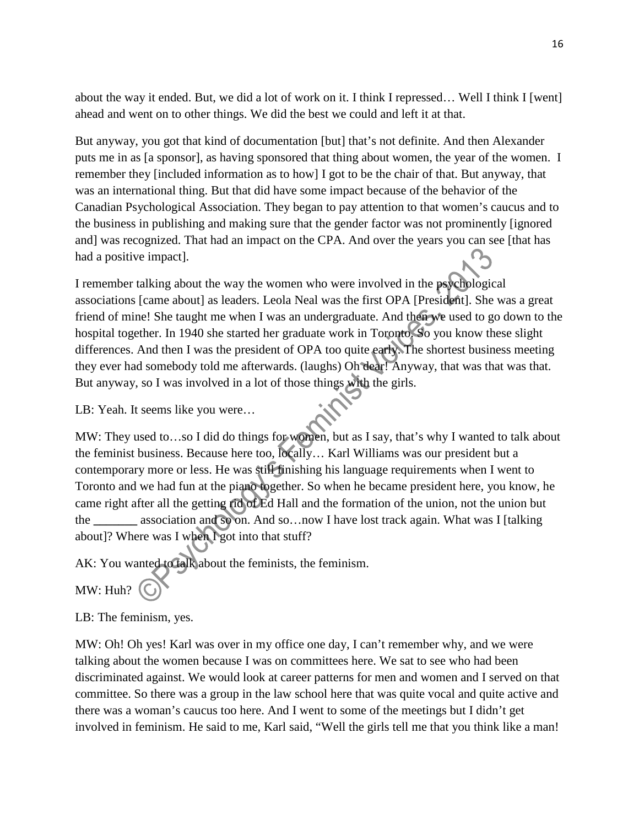about the way it ended. But, we did a lot of work on it. I think I repressed… Well I think I [went] ahead and went on to other things. We did the best we could and left it at that.

But anyway, you got that kind of documentation [but] that's not definite. And then Alexander puts me in as [a sponsor], as having sponsored that thing about women, the year of the women. I remember they [included information as to how] I got to be the chair of that. But anyway, that was an international thing. But that did have some impact because of the behavior of the Canadian Psychological Association. They began to pay attention to that women's caucus and to the business in publishing and making sure that the gender factor was not prominently [ignored and] was recognized. That had an impact on the CPA. And over the years you can see [that has had a positive impact].

I remember talking about the way the women who were involved in the psychological associations [came about] as leaders. Leola Neal was the first OPA [President]. She was a great friend of mine! She taught me when I was an undergraduate. And then we used to go down to the hospital together. In 1940 she started her graduate work in Toronto. So you know these slight differences. And then I was the president of OPA too quite early. The shortest business meeting they ever had somebody told me afterwards. (laughs) Oh dear! Anyway, that was that was that. But anyway, so I was involved in a lot of those things with the girls.

LB: Yeah. It seems like you were…

MW: They used to...so I did do things for women, but as I say, that's why I wanted to talk about the feminist business. Because here too, locally… Karl Williams was our president but a contemporary more or less. He was still finishing his language requirements when I went to Toronto and we had fun at the piano together. So when he became president here, you know, he came right after all the getting rid of Ed Hall and the formation of the union, not the union but the **\_\_\_\_\_\_\_** association and so on. And so…now I have lost track again. What was I [talking about]? Where was I when I got into that stuff?

AK: You wanted to talk about the feminists, the feminism.

MW: Huh?

LB: The feminism, yes.

MW: Oh! Oh yes! Karl was over in my office one day, I can't remember why, and we were talking about the women because I was on committees here. We sat to see who had been discriminated against. We would look at career patterns for men and women and I served on that committee. So there was a group in the law school here that was quite vocal and quite active and there was a woman's caucus too here. And I went to some of the meetings but I didn't get involved in feminism. He said to me, Karl said, "Well the girls tell me that you think like a man!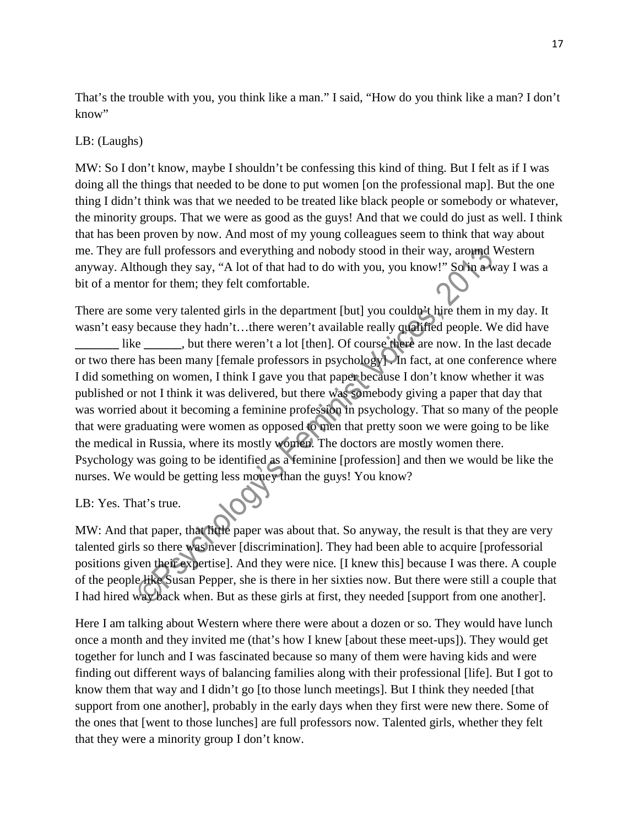That's the trouble with you, you think like a man." I said, "How do you think like a man? I don't know"

## LB: (Laughs)

MW: So I don't know, maybe I shouldn't be confessing this kind of thing. But I felt as if I was doing all the things that needed to be done to put women [on the professional map]. But the one thing I didn't think was that we needed to be treated like black people or somebody or whatever, the minority groups. That we were as good as the guys! And that we could do just as well. I think that has been proven by now. And most of my young colleagues seem to think that way about me. They are full professors and everything and nobody stood in their way, around Western anyway. Although they say, "A lot of that had to do with you, you know!" So in a way I was a bit of a mentor for them; they felt comfortable.

There are some very talented girls in the department [but] you couldn't hire them in my day. It wasn't easy because they hadn't...there weren't available really qualified people. We did have like **\_\_\_\_\_**, but there weren't a lot [then]. Of course there are now. In the last decade or two there has been many [female professors in psychology]. In fact, at one conference where I did something on women, I think I gave you that paper because I don't know whether it was published or not I think it was delivered, but there was somebody giving a paper that day that was worried about it becoming a feminine profession in psychology. That so many of the people that were graduating were women as opposed to men that pretty soon we were going to be like the medical in Russia, where its mostly women. The doctors are mostly women there. Psychology was going to be identified as a feminine [profession] and then we would be like the nurses. We would be getting less money than the guys! You know?

## LB: Yes. That's true.

MW: And that paper, that little paper was about that. So anyway, the result is that they are very talented girls so there was never [discrimination]. They had been able to acquire [professorial positions given their expertise]. And they were nice*.* [I knew this] because I was there. A couple of the people like Susan Pepper, she is there in her sixties now. But there were still a couple that I had hired way back when. But as these girls at first, they needed [support from one another].

Here I am talking about Western where there were about a dozen or so. They would have lunch once a month and they invited me (that's how I knew [about these meet-ups]). They would get together for lunch and I was fascinated because so many of them were having kids and were finding out different ways of balancing families along with their professional [life]. But I got to know them that way and I didn't go [to those lunch meetings]. But I think they needed [that support from one another], probably in the early days when they first were new there. Some of the ones that [went to those lunches] are full professors now. Talented girls, whether they felt that they were a minority group I don't know.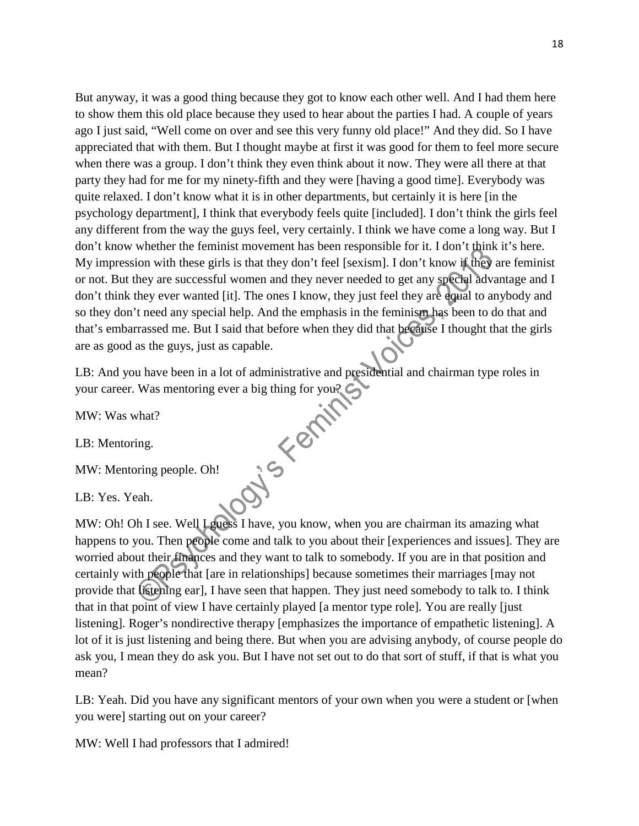But anyway, it was a good thing because they got to know each other well. And I had them here to show them this old place because they used to hear about the parties I had. A couple of years ago I just said, "Well come on over and see this very funny old place!" And they did. So I have appreciated that with them. But I thought maybe at first it was good for them to feel more secure when there was a group. I don't think they even think about it now. They were all there at that party they had for me for my ninety-fifth and they were [having a good time]. Everybody was quite relaxed. I don't know what it is in other departments, but certainly it is here [in the psychology department], I think that everybody feels quite [included]*.* I don't think the girls feel any different from the way the guys feel, very certainly. I think we have come a long way. But I don't know whether the feminist movement has been responsible for it. I don't think it's here. My impression with these girls is that they don't feel [sexism]. I don't know if they are feminist or not. But they are successful women and they never needed to get any special advantage and I don't think they ever wanted [it]. The ones I know, they just feel they are equal to anybody and so they don't need any special help. And the emphasis in the feminism has been to do that and that's embarrassed me. But I said that before when they did that because I thought that the girls are as good as the guys, just as capable.

LB: And you have been in a lot of administrative and presidential and chairman type roles in<br>your career. Was mentoring ever a big thing for you?<br>MW: Was what?<br>LB: Mentoring.<br>MW: Mentoring people. Oh!<br>LB: Yes. Yeah. your career. Was mentoring ever a big thing for you?

MW: Was what?

LB: Mentoring.

MW: Mentoring people. Oh!

LB: Yes. Yeah.

MW: Oh! Oh I see. Well Lguess I have, you know, when you are chairman its amazing what happens to you. Then people come and talk to you about their [experiences and issues]*.* They are worried about their finances and they want to talk to somebody. If you are in that position and certainly with people that [are in relationships] because sometimes their marriages [may not provide that listening ear], I have seen that happen. They just need somebody to talk to. I think that in that point of view I have certainly played [a mentor type role]*.* You are really [just listening]*.* Roger's nondirective therapy [emphasizes the importance of empathetic listening]. A lot of it is just listening and being there. But when you are advising anybody, of course people do ask you, I mean they do ask you. But I have not set out to do that sort of stuff, if that is what you mean?

LB: Yeah. Did you have any significant mentors of your own when you were a student or [when you were] starting out on your career?

MW: Well I had professors that I admired!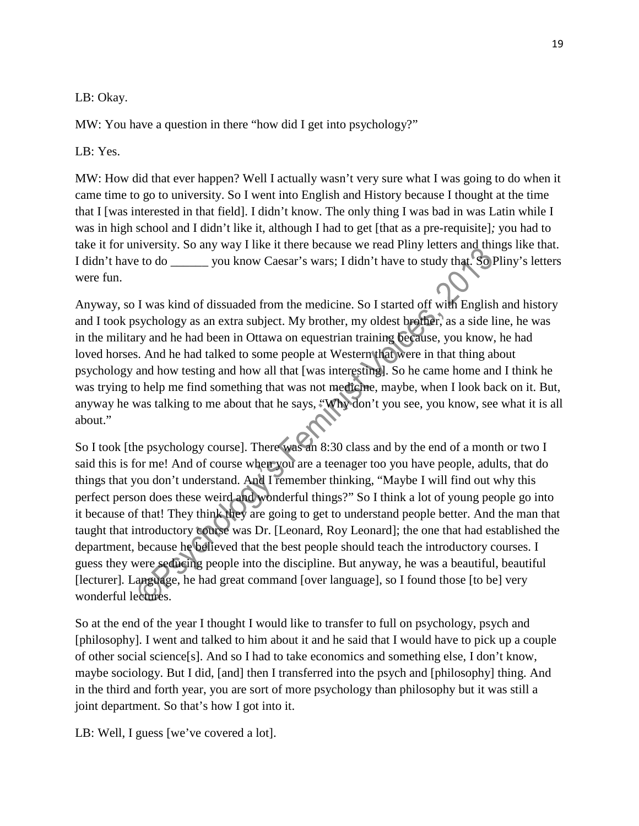## LB: Okay.

MW: You have a question in there "how did I get into psychology?"

## LB: Yes.

MW: How did that ever happen? Well I actually wasn't very sure what I was going to do when it came time to go to university. So I went into English and History because I thought at the time that I [was interested in that field]. I didn't know. The only thing I was bad in was Latin while I was in high school and I didn't like it, although I had to get [that as a pre-requisite]*;* you had to take it for university. So any way I like it there because we read Pliny letters and things like that. I didn't have to do \_\_\_\_\_\_ you know Caesar's wars; I didn't have to study that. So Pliny's letters were fun.

Anyway, so I was kind of dissuaded from the medicine. So I started off with English and history and I took psychology as an extra subject. My brother, my oldest brother, as a side line, he was in the military and he had been in Ottawa on equestrian training because, you know, he had loved horses. And he had talked to some people at Western that were in that thing about psychology and how testing and how all that [was interesting]. So he came home and I think he was trying to help me find something that was not medicine, maybe, when I look back on it. But, anyway he was talking to me about that he says, "Why don't you see, you know, see what it is all about."

So I took [the psychology course]. There was an 8:30 class and by the end of a month or two I said this is for me! And of course when you are a teenager too you have people, adults, that do things that you don't understand. And I remember thinking, "Maybe I will find out why this perfect person does these weird and wonderful things?" So I think a lot of young people go into it because of that! They think they are going to get to understand people better. And the man that taught that introductory course was Dr. [Leonard, Roy Leonard]; the one that had established the department, because he believed that the best people should teach the introductory courses. I guess they were seducing people into the discipline. But anyway, he was a beautiful, beautiful [lecturer]*.* Language, he had great command [over language], so I found those [to be] very wonderful lectures.

So at the end of the year I thought I would like to transfer to full on psychology, psych and [philosophy]. I went and talked to him about it and he said that I would have to pick up a couple of other social science[s]. And so I had to take economics and something else, I don't know, maybe sociology. But I did, [and] then I transferred into the psych and [philosophy] thing. And in the third and forth year, you are sort of more psychology than philosophy but it was still a joint department. So that's how I got into it.

LB: Well, I guess [we've covered a lot].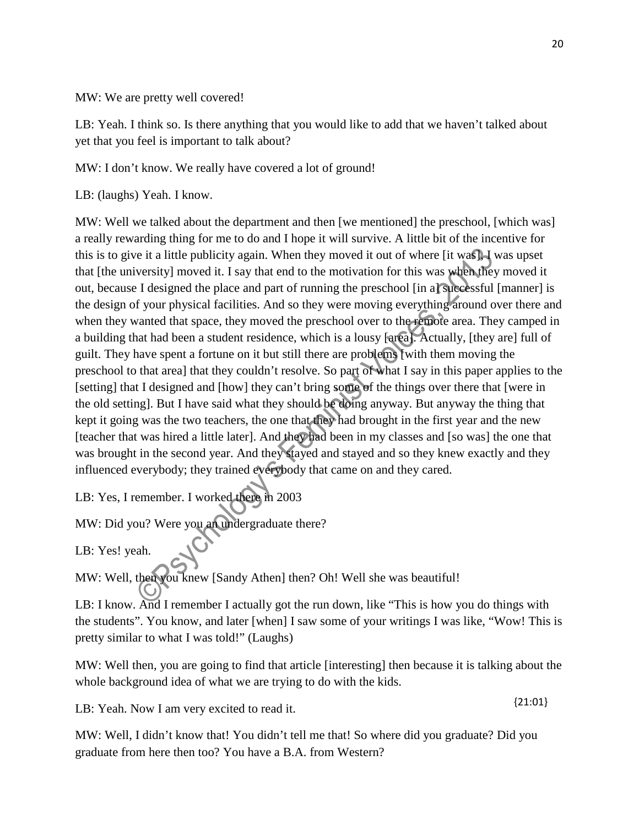MW: We are pretty well covered!

LB: Yeah. I think so. Is there anything that you would like to add that we haven't talked about yet that you feel is important to talk about?

MW: I don't know. We really have covered a lot of ground!

LB: (laughs) Yeah. I know.

MW: Well we talked about the department and then [we mentioned] the preschool, [which was] a really rewarding thing for me to do and I hope it will survive. A little bit of the incentive for this is to give it a little publicity again. When they moved it out of where [it was], I was upset that [the university] moved it. I say that end to the motivation for this was when they moved it out, because I designed the place and part of running the preschool [in a] successful [manner] is the design of your physical facilities. And so they were moving everything around over there and when they wanted that space, they moved the preschool over to the remote area. They camped in a building that had been a student residence, which is a lousy [area]. Actually, [they are] full of guilt. They have spent a fortune on it but still there are problems [with them moving the preschool to that area] that they couldn't resolve. So part of what I say in this paper applies to the [setting] that I designed and [how] they can't bring some of the things over there that [were in the old setting]. But I have said what they should be doing anyway. But anyway the thing that kept it going was the two teachers, the one that they had brought in the first year and the new [teacher that was hired a little later]. And they had been in my classes and [so was] the one that was brought in the second year. And they stayed and stayed and so they knew exactly and they influenced everybody; they trained everybody that came on and they cared.

LB: Yes, I remember. I worked there in 2003

MW: Did you? Were you an undergraduate there?

LB: Yes! yeah.

MW: Well, then you knew [Sandy Athen] then? Oh! Well she was beautiful!

LB: I know. And I remember I actually got the run down, like "This is how you do things with the students". You know, and later [when] I saw some of your writings I was like, "Wow! This is pretty similar to what I was told!" (Laughs)

MW: Well then, you are going to find that article [interesting] then because it is talking about the whole background idea of what we are trying to do with the kids.

LB: Yeah. Now I am very excited to read it.

MW: Well, I didn't know that! You didn't tell me that! So where did you graduate? Did you graduate from here then too? You have a B.A. from Western?

{21:01}